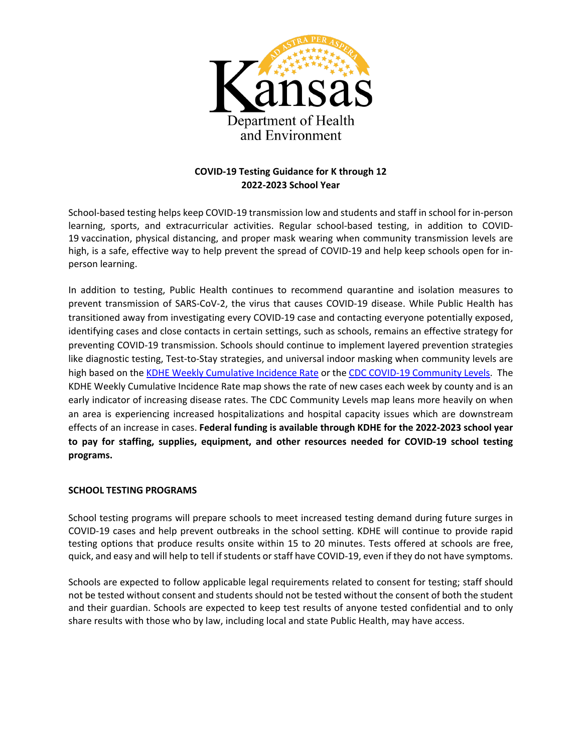

# **COVID-19 Testing Guidance for K through 12 2022-2023 School Year**

School-based testing helps keep COVID-19 transmission low and students and staff in school for in-person learning, sports, and extracurricular activities. Regular school-based testing, in addition to COVID-19 vaccination, physical distancing, and proper mask wearing when community transmission levels are high, is a safe, effective way to help prevent the spread of COVID-19 and help keep schools open for inperson learning.

In addition to testing, Public Health continues to recommend quarantine and isolation measures to prevent transmission of SARS-CoV-2, the virus that causes COVID-19 disease. While Public Health has transitioned away from investigating every COVID-19 case and contacting everyone potentially exposed, identifying cases and close contacts in certain settings, such as schools, remains an effective strategy for preventing COVID-19 transmission. Schools should continue to implement layered prevention strategies like diagnostic testing, Test-to-Stay strategies, and universal indoor masking when community levels are high based on the [KDHE Weekly Cumulative Incidence Rate](https://www.coronavirus.kdheks.gov/160/COVID-19-in-Kansas) or the [CDC COVID-19 Community Levels.](https://www.cdc.gov/coronavirus/2019-ncov/your-health/covid-by-county.html) The KDHE Weekly Cumulative Incidence Rate map shows the rate of new cases each week by county and is an early indicator of increasing disease rates. The CDC Community Levels map leans more heavily on when an area is experiencing increased hospitalizations and hospital capacity issues which are downstream effects of an increase in cases. **Federal funding is available through KDHE for the 2022-2023 school year to pay for staffing, supplies, equipment, and other resources needed for COVID-19 school testing programs.** 

#### **SCHOOL TESTING PROGRAMS**

School testing programs will prepare schools to meet increased testing demand during future surges in COVID-19 cases and help prevent outbreaks in the school setting. KDHE will continue to provide rapid testing options that produce results onsite within 15 to 20 minutes. Tests offered at schools are free, quick, and easy and will help to tell if students or staff have COVID-19, even if they do not have symptoms.

Schools are expected to follow applicable legal requirements related to consent for testing; staff should not be tested without consent and students should not be tested without the consent of both the student and their guardian. Schools are expected to keep test results of anyone tested confidential and to only share results with those who by law, including local and state Public Health, may have access.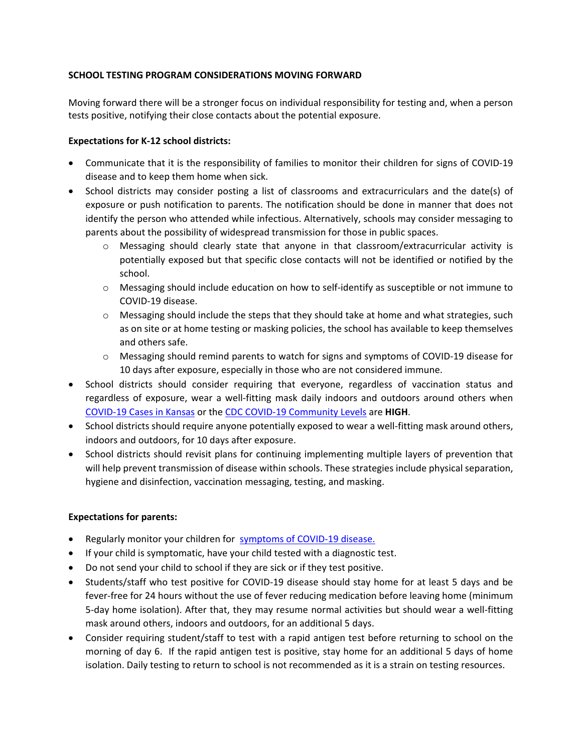### **SCHOOL TESTING PROGRAM CONSIDERATIONS MOVING FORWARD**

Moving forward there will be a stronger focus on individual responsibility for testing and, when a person tests positive, notifying their close contacts about the potential exposure.

### **Expectations for K-12 school districts:**

- Communicate that it is the responsibility of families to monitor their children for signs of COVID-19 disease and to keep them home when sick.
- School districts may consider posting a list of classrooms and extracurriculars and the date(s) of exposure or push notification to parents. The notification should be done in manner that does not identify the person who attended while infectious. Alternatively, schools may consider messaging to parents about the possibility of widespread transmission for those in public spaces.
	- o Messaging should clearly state that anyone in that classroom/extracurricular activity is potentially exposed but that specific close contacts will not be identified or notified by the school.
	- o Messaging should include education on how to self-identify as susceptible or not immune to COVID-19 disease.
	- $\circ$  Messaging should include the steps that they should take at home and what strategies, such as on site or at home testing or masking policies, the school has available to keep themselves and others safe.
	- o Messaging should remind parents to watch for signs and symptoms of COVID-19 disease for 10 days after exposure, especially in those who are not considered immune.
- School districts should consider requiring that everyone, regardless of vaccination status and regardless of exposure, wear a well-fitting mask daily indoors and outdoors around others when [COVID-19 Cases in Kansas](https://www.coronavirus.kdheks.gov/160/COVID-19-in-Kansas) or the [CDC COVID-19 Community Levels](https://www.cdc.gov/coronavirus/2019-ncov/your-health/covid-by-county.html) are **HIGH**.
- School districts should require anyone potentially exposed to wear a well-fitting mask around others, indoors and outdoors, for 10 days after exposure.
- School districts should revisit plans for continuing implementing multiple layers of prevention that will help prevent transmission of disease within schools. These strategies include physical separation, hygiene and disinfection, vaccination messaging, testing, and masking.

#### **Expectations for parents:**

- Regularly monitor your children for [symptoms of COVID-19 disease.](https://www.cdc.gov/coronavirus/2019-ncov/symptoms-testing/symptoms.html)
- If your child is symptomatic, have your child tested with a diagnostic test.
- Do not send your child to school if they are sick or if they test positive.
- Students/staff who test positive for COVID-19 disease should stay home for at least 5 days and be fever-free for 24 hours without the use of fever reducing medication before leaving home (minimum 5-day home isolation). After that, they may resume normal activities but should wear a well-fitting mask around others, indoors and outdoors, for an additional 5 days.
- Consider requiring student/staff to test with a rapid antigen test before returning to school on the morning of day 6. If the rapid antigen test is positive, stay home for an additional 5 days of home isolation. Daily testing to return to school is not recommended as it is a strain on testing resources.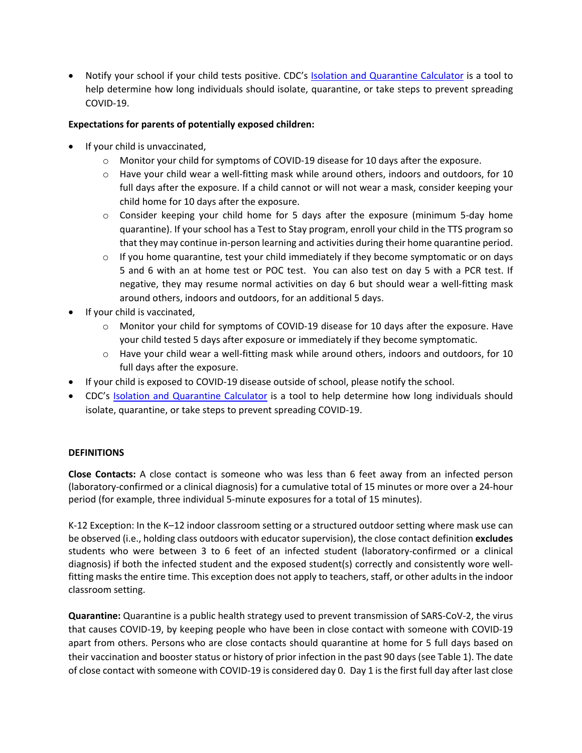• Notify your school if your child tests positive. CDC's [Isolation and Quarantine Calculator](https://www.cdc.gov/coronavirus/2019-ncov/your-health/quarantine-isolation.html) is a tool to help determine how long individuals should isolate, quarantine, or take steps to prevent spreading COVID-19.

### **Expectations for parents of potentially exposed children:**

- If your child is unvaccinated,
	- o Monitor your child for symptoms of COVID-19 disease for 10 days after the exposure.
	- $\circ$  Have your child wear a well-fitting mask while around others, indoors and outdoors, for 10 full days after the exposure. If a child cannot or will not wear a mask, consider keeping your child home for 10 days after the exposure.
	- $\circ$  Consider keeping your child home for 5 days after the exposure (minimum 5-day home quarantine). If your school has a Test to Stay program, enroll your child in the TTS program so that they may continue in-person learning and activities during their home quarantine period.
	- $\circ$  If you home quarantine, test your child immediately if they become symptomatic or on days 5 and 6 with an at home test or POC test. You can also test on day 5 with a PCR test. If negative, they may resume normal activities on day 6 but should wear a well-fitting mask around others, indoors and outdoors, for an additional 5 days.
- If your child is vaccinated,
	- o Monitor your child for symptoms of COVID-19 disease for 10 days after the exposure. Have your child tested 5 days after exposure or immediately if they become symptomatic.
	- $\circ$  Have your child wear a well-fitting mask while around others, indoors and outdoors, for 10 full days after the exposure.
- If your child is exposed to COVID-19 disease outside of school, please notify the school.
- CDC's [Isolation and Quarantine Calculator](https://www.cdc.gov/coronavirus/2019-ncov/your-health/quarantine-isolation.html) is a tool to help determine how long individuals should isolate, quarantine, or take steps to prevent spreading COVID-19.

#### **DEFINITIONS**

**Close Contacts:** A close contact is someone who was less than 6 feet away from an infected person (laboratory-confirmed or a clinical diagnosis) for a cumulative total of 15 minutes or more over a 24-hour period (for example, three individual 5-minute exposures for a total of 15 minutes).

K-12 Exception: In the K–12 indoor classroom setting or a structured outdoor setting where mask use can be observed (i.e., holding class outdoors with educator supervision), the close contact definition **excludes** students who were between 3 to 6 feet of an infected student (laboratory-confirmed or a clinical diagnosis) if both the infected student and the exposed student(s) correctly and consistently wore wellfitting masks the entire time. This exception does not apply to teachers, staff, or other adults in the indoor classroom setting.

**Quarantine:** Quarantine is a public health strategy used to prevent transmission of SARS-CoV-2, the virus that causes COVID-19, by keeping people who have been in close contact with someone with COVID-19 apart from others. Persons who are close contacts should quarantine at home for 5 full days based on their vaccination and booster status or history of prior infection in the past 90 days (see Table 1). The date of close contact with someone with COVID-19 is considered day 0. Day 1 is the first full day after last close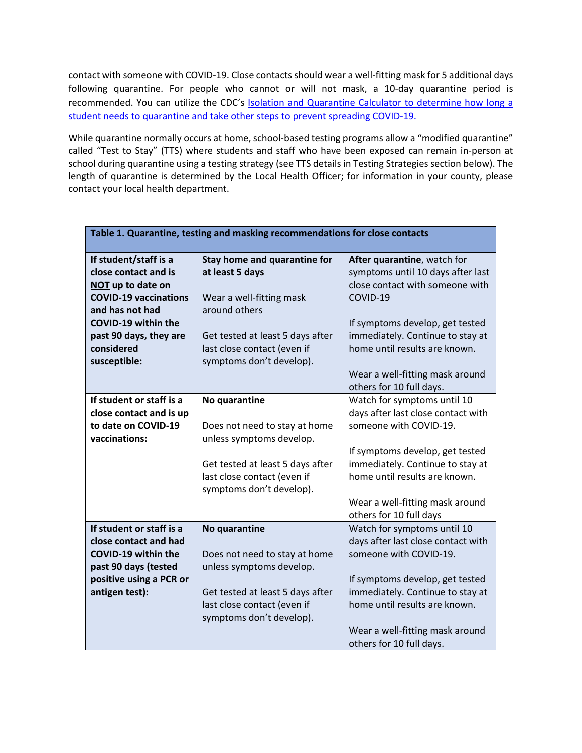contact with someone with COVID-19. Close contacts should wear a well-fitting mask for 5 additional days following quarantine. For people who cannot or will not mask, a 10-day quarantine period is recommended. You can utilize the CDC's **Isolation and Quarantine Calculator to determine how long a** student needs to quarantine and take other steps to prevent spreading COVID-19.

While quarantine normally occurs at home, school-based testing programs allow a "modified quarantine" called "Test to Stay" (TTS) where students and staff who have been exposed can remain in-person at school during quarantine using a testing strategy (see TTS details in Testing Strategies section below). The length of quarantine is determined by the Local Health Officer; for information in your county, please contact your local health department.

| Table 1. Quarantine, testing and masking recommendations for close contacts |                                                           |                                                                                                     |
|-----------------------------------------------------------------------------|-----------------------------------------------------------|-----------------------------------------------------------------------------------------------------|
| If student/staff is a<br>close contact and is<br>NOT up to date on          | Stay home and quarantine for<br>at least 5 days           | After quarantine, watch for<br>symptoms until 10 days after last<br>close contact with someone with |
| <b>COVID-19 vaccinations</b><br>and has not had                             | Wear a well-fitting mask<br>around others                 | COVID-19                                                                                            |
| COVID-19 within the                                                         |                                                           | If symptoms develop, get tested                                                                     |
| past 90 days, they are<br>considered                                        | Get tested at least 5 days after                          | immediately. Continue to stay at<br>home until results are known.                                   |
| susceptible:                                                                | last close contact (even if<br>symptoms don't develop).   |                                                                                                     |
|                                                                             |                                                           | Wear a well-fitting mask around<br>others for 10 full days.                                         |
| If student or staff is a                                                    | No quarantine                                             | Watch for symptoms until 10                                                                         |
| close contact and is up                                                     |                                                           | days after last close contact with                                                                  |
| to date on COVID-19<br>vaccinations:                                        | Does not need to stay at home<br>unless symptoms develop. | someone with COVID-19.                                                                              |
|                                                                             |                                                           | If symptoms develop, get tested                                                                     |
|                                                                             | Get tested at least 5 days after                          | immediately. Continue to stay at                                                                    |
|                                                                             | last close contact (even if<br>symptoms don't develop).   | home until results are known.                                                                       |
|                                                                             |                                                           | Wear a well-fitting mask around<br>others for 10 full days                                          |
| If student or staff is a                                                    | No quarantine                                             | Watch for symptoms until 10                                                                         |
| close contact and had                                                       |                                                           | days after last close contact with                                                                  |
| COVID-19 within the<br>past 90 days (tested                                 | Does not need to stay at home<br>unless symptoms develop. | someone with COVID-19.                                                                              |
| positive using a PCR or                                                     |                                                           | If symptoms develop, get tested                                                                     |
| antigen test):                                                              | Get tested at least 5 days after                          | immediately. Continue to stay at                                                                    |
|                                                                             | last close contact (even if<br>symptoms don't develop).   | home until results are known.                                                                       |
|                                                                             |                                                           | Wear a well-fitting mask around                                                                     |
|                                                                             |                                                           | others for 10 full days.                                                                            |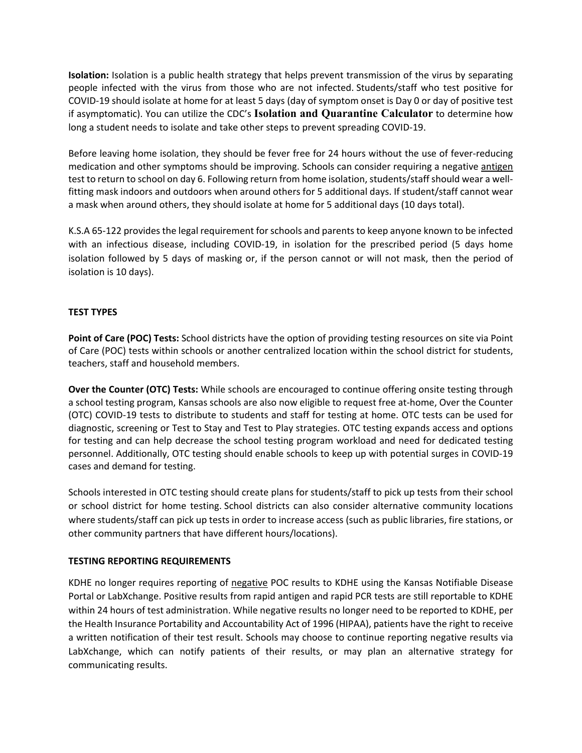**Isolation:** Isolation is a public health strategy that helps prevent transmission of the virus by separating people infected with the virus from those who are not infected. Students/staff who test positive for COVID-19 should isolate at home for at least 5 days (day of symptom onset is Day 0 or day of positive test if asymptomatic). You can utilize the CDC's **[Isolation and Quarantine Calculator](https://www.cdc.gov/coronavirus/2019-ncov/your-health/quarantine-isolation.html)** to determine how long a student needs to isolate and take other steps to prevent spreading COVID-19.

Before leaving home isolation, they should be fever free for 24 hours without the use of fever-reducing medication and other symptoms should be improving. Schools can consider requiring a negative antigen test to return to school on day 6. Following return from home isolation, students/staff should wear a wellfitting mask indoors and outdoors when around others for 5 additional days. If student/staff cannot wear a mask when around others, they should isolate at home for 5 additional days (10 days total).

K.S.A 65-122 provides the legal requirement for schools and parents to keep anyone known to be infected with an infectious disease, including COVID-19, in isolation for the prescribed period (5 days home isolation followed by 5 days of masking or, if the person cannot or will not mask, then the period of isolation is 10 days).

### **TEST TYPES**

**Point of Care (POC) Tests:** School districts have the option of providing testing resources on site via Point of Care (POC) tests within schools or another centralized location within the school district for students, teachers, staff and household members.

**Over the Counter (OTC) Tests:** While schools are encouraged to continue offering onsite testing through a school testing program, Kansas schools are also now eligible to request free at-home, Over the Counter (OTC) COVID-19 tests to distribute to students and staff for testing at home. OTC tests can be used for diagnostic, screening or Test to Stay and Test to Play strategies. OTC testing expands access and options for testing and can help decrease the school testing program workload and need for dedicated testing personnel. Additionally, OTC testing should enable schools to keep up with potential surges in COVID-19 cases and demand for testing.

Schools interested in OTC testing should create plans for students/staff to pick up tests from their school or school district for home testing. School districts can also consider alternative community locations where students/staff can pick up tests in order to increase access (such as public libraries, fire stations, or other community partners that have different hours/locations).

#### **TESTING REPORTING REQUIREMENTS**

KDHE no longer requires reporting of negative POC results to KDHE using the Kansas Notifiable Disease Portal or LabXchange. Positive results from rapid antigen and rapid PCR tests are still reportable to KDHE within 24 hours of test administration. While negative results no longer need to be reported to KDHE, per the Health Insurance Portability and Accountability Act of 1996 (HIPAA), patients have the right to receive a written notification of their test result. Schools may choose to continue reporting negative results via LabXchange, which can notify patients of their results, or may plan an alternative strategy for communicating results.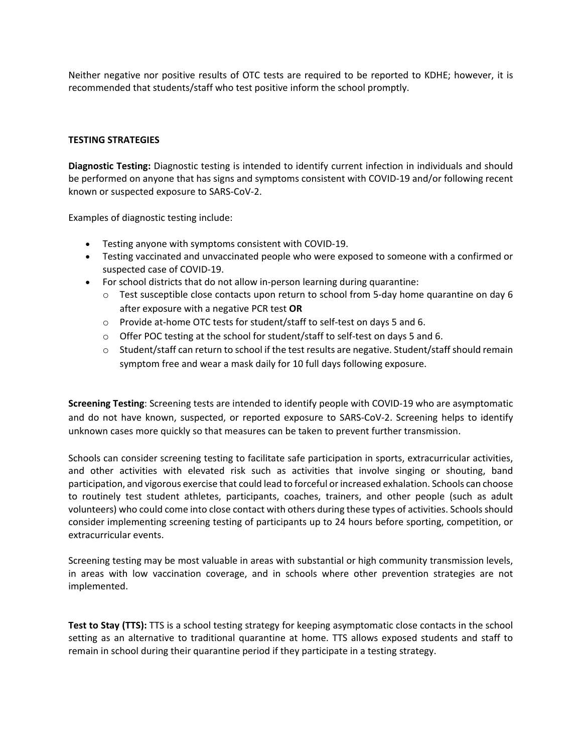Neither negative nor positive results of OTC tests are required to be reported to KDHE; however, it is recommended that students/staff who test positive inform the school promptly.

#### **TESTING STRATEGIES**

**Diagnostic Testing:** Diagnostic testing is intended to identify current infection in individuals and should be performed on anyone that has signs and symptoms consistent with COVID-19 and/or following recent known or suspected exposure to SARS-CoV-2.

Examples of diagnostic testing include:

- Testing anyone with symptoms consistent with COVID-19.
- Testing vaccinated and unvaccinated people who were exposed to someone with a confirmed or suspected case of COVID-19.
- For school districts that do not allow in-person learning during quarantine:
	- $\circ$  Test susceptible close contacts upon return to school from 5-day home quarantine on day 6 after exposure with a negative PCR test **OR**
	- o Provide at-home OTC tests for student/staff to self-test on days 5 and 6.
	- $\circ$  Offer POC testing at the school for student/staff to self-test on days 5 and 6.
	- o Student/staff can return to school if the test results are negative. Student/staff should remain symptom free and wear a mask daily for 10 full days following exposure.

**Screening Testing**: Screening tests are intended to identify people with COVID-19 who are asymptomatic and do not have known, suspected, or reported exposure to SARS-CoV-2. Screening helps to identify unknown cases more quickly so that measures can be taken to prevent further transmission.

Schools can consider screening testing to facilitate safe participation in sports, extracurricular activities, and other activities with elevated risk such as activities that involve singing or shouting, band participation, and vigorous exercise that could lead to forceful or increased exhalation. Schools can choose to routinely test student athletes, participants, coaches, trainers, and other people (such as adult volunteers) who could come into close contact with others during these types of activities. Schools should consider implementing screening testing of participants up to 24 hours before sporting, competition, or extracurricular events.

Screening testing may be most valuable in areas with substantial or high community transmission levels, in areas with low vaccination coverage, and in schools where other prevention strategies are not implemented.

**Test to Stay (TTS):** TTS is a school testing strategy for keeping asymptomatic close contacts in the school setting as an alternative to traditional quarantine at home. TTS allows exposed students and staff to remain in school during their quarantine period if they participate in a testing strategy.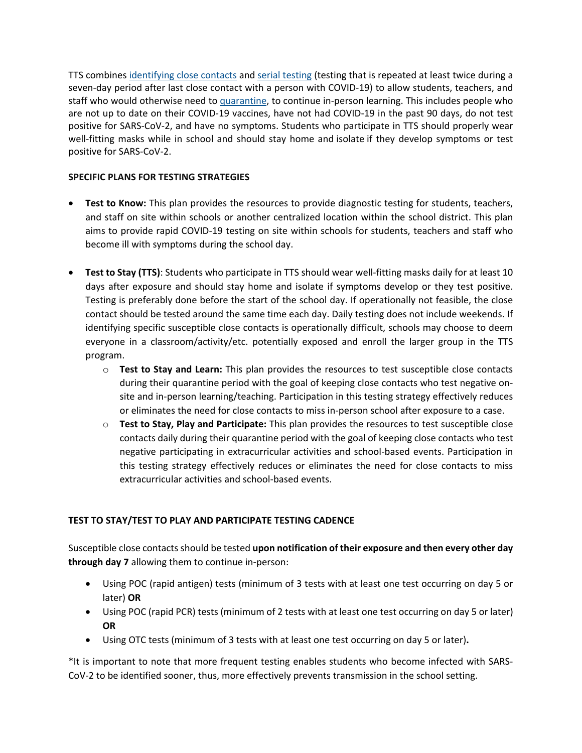TTS combines [identifying close contacts](https://www.cdc.gov/coronavirus/2019-ncov/community/schools-childcare/K-12-contact-tracing.html) and [serial testing](https://www.cdc.gov/coronavirus/2019-ncov/testing/diagnostic-testing.html) (testing that is repeated at least twice during a seven-day period after last close contact with a person with COVID-19) to allow students, teachers, and staff who would otherwise need to [quarantine,](https://www.cdc.gov/coronavirus/2019-ncov/community/schools-childcare/k-12-contact-tracing/about-quarantine.html) to continue in-person learning. This includes people who are not up to date on their COVID-19 vaccines, have not had COVID-19 in the past 90 days, do not test positive for SARS-CoV-2, and have no symptoms. Students who participate in TTS should properly wear well-fitting masks while in school and should stay home and isolate if they develop symptoms or test positive for SARS-CoV-2.

### **SPECIFIC PLANS FOR TESTING STRATEGIES**

- **Test to Know:** This plan provides the resources to provide diagnostic testing for students, teachers, and staff on site within schools or another centralized location within the school district. This plan aims to provide rapid COVID-19 testing on site within schools for students, teachers and staff who become ill with symptoms during the school day.
- **Test to Stay (TTS)**: Students who participate in TTS should wear well-fitting masks daily for at least 10 days after exposure and should stay home and isolate if symptoms develop or they test positive. Testing is preferably done before the start of the school day. If operationally not feasible, the close contact should be tested around the same time each day. Daily testing does not include weekends. If identifying specific susceptible close contacts is operationally difficult, schools may choose to deem everyone in a classroom/activity/etc. potentially exposed and enroll the larger group in the TTS program.
	- o **Test to Stay and Learn:** This plan provides the resources to test susceptible close contacts during their quarantine period with the goal of keeping close contacts who test negative onsite and in-person learning/teaching. Participation in this testing strategy effectively reduces or eliminates the need for close contacts to miss in-person school after exposure to a case.
	- o **Test to Stay, Play and Participate:** This plan provides the resources to test susceptible close contacts daily during their quarantine period with the goal of keeping close contacts who test negative participating in extracurricular activities and school-based events. Participation in this testing strategy effectively reduces or eliminates the need for close contacts to miss extracurricular activities and school-based events.

## **TEST TO STAY/TEST TO PLAY AND PARTICIPATE TESTING CADENCE**

Susceptible close contacts should be tested **upon notification of their exposure and then every other day through day 7** allowing them to continue in-person:

- Using POC (rapid antigen) tests (minimum of 3 tests with at least one test occurring on day 5 or later) **OR**
- Using POC (rapid PCR) tests (minimum of 2 tests with at least one test occurring on day 5 or later) **OR**
- Using OTC tests (minimum of 3 tests with at least one test occurring on day 5 or later)**.**

\*It is important to note that more frequent testing enables students who become infected with SARS-CoV-2 to be identified sooner, thus, more effectively prevents transmission in the school setting.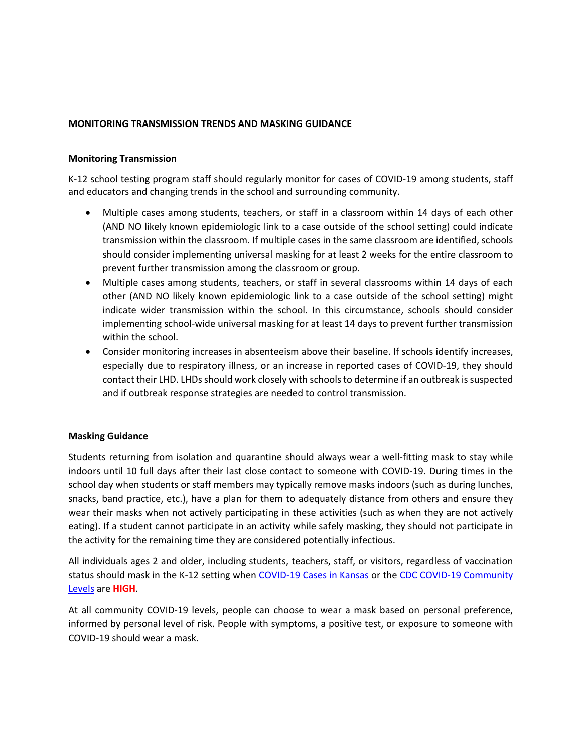#### **MONITORING TRANSMISSION TRENDS AND MASKING GUIDANCE**

#### **Monitoring Transmission**

K-12 school testing program staff should regularly monitor for cases of COVID-19 among students, staff and educators and changing trends in the school and surrounding community.

- Multiple cases among students, teachers, or staff in a classroom within 14 days of each other (AND NO likely known epidemiologic link to a case outside of the school setting) could indicate transmission within the classroom. If multiple cases in the same classroom are identified, schools should consider implementing universal masking for at least 2 weeks for the entire classroom to prevent further transmission among the classroom or group.
- Multiple cases among students, teachers, or staff in several classrooms within 14 days of each other (AND NO likely known epidemiologic link to a case outside of the school setting) might indicate wider transmission within the school. In this circumstance, schools should consider implementing school-wide universal masking for at least 14 days to prevent further transmission within the school.
- Consider monitoring increases in absenteeism above their baseline. If schools identify increases, especially due to respiratory illness, or an increase in reported cases of COVID-19, they should contact their LHD. LHDs should work closely with schools to determine if an outbreak is suspected and if outbreak response strategies are needed to control transmission.

#### **Masking Guidance**

Students returning from isolation and quarantine should always wear a well-fitting mask to stay while indoors until 10 full days after their last close contact to someone with COVID-19. During times in the school day when students or staff members may typically remove masks indoors (such as during lunches, snacks, band practice, etc.), have a plan for them to adequately distance from others and ensure they wear their masks when not actively participating in these activities (such as when they are not actively eating). If a student cannot participate in an activity while safely masking, they should not participate in the activity for the remaining time they are considered potentially infectious.

All individuals ages 2 and older, including students, teachers, staff, or visitors, regardless of vaccination status should mask in the K-12 setting when [COVID-19 Cases in Kansas](https://www.coronavirus.kdheks.gov/160/COVID-19-in-Kansas) or the [CDC COVID-19 Community](https://www.cdc.gov/coronavirus/2019-ncov/your-health/covid-by-county.html)  [Levels](https://www.cdc.gov/coronavirus/2019-ncov/your-health/covid-by-county.html) are **HIGH**.

At all community COVID-19 levels, people can choose to wear a mask based on personal preference, informed by personal level of risk. People with symptoms, a positive test, or exposure to someone with COVID-19 should wear a mask.